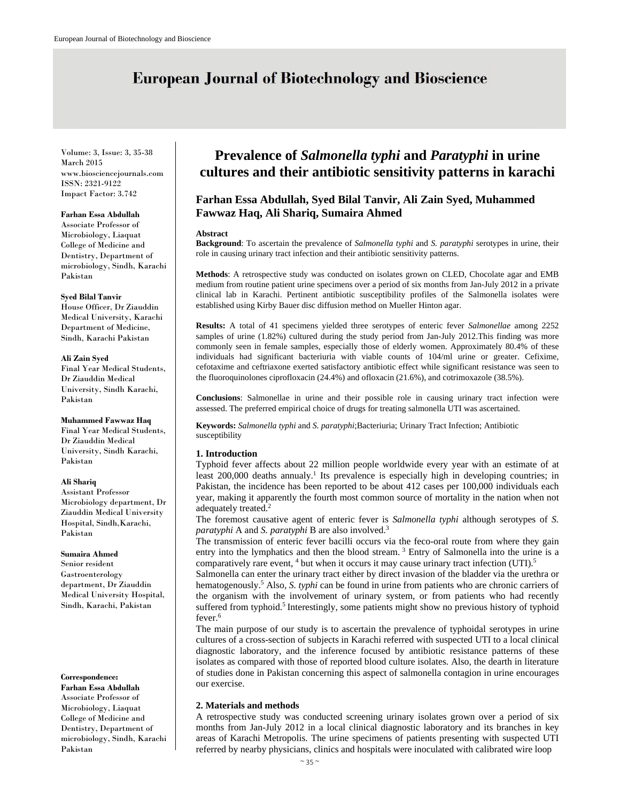# **European Journal of Biotechnology and Bioscience**

Volume: 3, Issue: 3, 35-38 March 2015 www.biosciencejournals.com ISSN: 2321-9122 Impact Factor: 3.742

### **Farhan Essa Abdullah**

Associate Professor of Microbiology, Liaquat College of Medicine and Dentistry, Department of microbiology, Sindh, Karachi Pakistan

### **Syed Bilal Tanvir**

House Officer, Dr Ziauddin Medical University, Karachi Department of Medicine, Sindh, Karachi Pakistan

### **Ali Zain Syed**

Final Year Medical Students, Dr Ziauddin Medical University, Sindh Karachi, Pakistan

### **Muhammed Fawwaz Haq**

Final Year Medical Students, Dr Ziauddin Medical University, Sindh Karachi, Pakistan

### **Ali Shariq**

Assistant Professor Microbiology department, Dr Ziauddin Medical University Hospital, Sindh,Karachi, Pakistan

### **Sumaira Ahmed**

Senior resident Gastroenterology department, Dr Ziauddin Medical University Hospital, Sindh, Karachi, Pakistan

### **Correspondence:**

**Farhan Essa Abdullah**  Associate Professor of Microbiology, Liaquat College of Medicine and Dentistry, Department of microbiology, Sindh, Karachi Pakistan

## **Prevalence of** *Salmonella typhi* **and** *Paratyphi* **in urine cultures and their antibiotic sensitivity patterns in karachi**

### **Farhan Essa Abdullah, Syed Bilal Tanvir, Ali Zain Syed, Muhammed Fawwaz Haq, Ali Shariq, Sumaira Ahmed**

### **Abstract**

**Background**: To ascertain the prevalence of *Salmonella typhi* and *S. paratyphi* serotypes in urine, their role in causing urinary tract infection and their antibiotic sensitivity patterns.

**Methods**: A retrospective study was conducted on isolates grown on CLED, Chocolate agar and EMB medium from routine patient urine specimens over a period of six months from Jan-July 2012 in a private clinical lab in Karachi. Pertinent antibiotic susceptibility profiles of the Salmonella isolates were established using Kirby Bauer disc diffusion method on Mueller Hinton agar.

**Results:** A total of 41 specimens yielded three serotypes of enteric fever *Salmonellae* among 2252 samples of urine (1.82%) cultured during the study period from Jan-July 2012.This finding was more commonly seen in female samples, especially those of elderly women. Approximately 80.4% of these individuals had significant bacteriuria with viable counts of 104/ml urine or greater. Cefixime, cefotaxime and ceftriaxone exerted satisfactory antibiotic effect while significant resistance was seen to the fluoroquinolones ciprofloxacin (24.4%) and ofloxacin (21.6%), and cotrimoxazole (38.5%).

**Conclusions**: Salmonellae in urine and their possible role in causing urinary tract infection were assessed. The preferred empirical choice of drugs for treating salmonella UTI was ascertained.

**Keywords:** *Salmonella typhi* and *S. paratyphi*;Bacteriuria; Urinary Tract Infection; Antibiotic susceptibility

### **1. Introduction**

Typhoid fever affects about 22 million people worldwide every year with an estimate of at least 200,000 deaths annualy.<sup>1</sup> Its prevalence is especially high in developing countries; in Pakistan, the incidence has been reported to be about 412 cases per 100,000 individuals each year, making it apparently the fourth most common source of mortality in the nation when not adequately treated.<sup>2</sup>

The foremost causative agent of enteric fever is *Salmonella typhi* although serotypes of *S. paratyphi* A and *S. paratyphi* B are also involved.3

The transmission of enteric fever bacilli occurs via the feco-oral route from where they gain entry into the lymphatics and then the blood stream.<sup>3</sup> Entry of Salmonella into the urine is a comparatively rare event, <sup>4</sup> but when it occurs it may cause urinary tract infection (UTI).<sup>5</sup>

Salmonella can enter the urinary tract either by direct invasion of the bladder via the urethra or hematogenously.<sup>5</sup> Also, *S. typhi* can be found in urine from patients who are chronic carriers of the organism with the involvement of urinary system, or from patients who had recently suffered from typhoid.<sup>5</sup> Interestingly, some patients might show no previous history of typhoid fever.<sup>6</sup>

The main purpose of our study is to ascertain the prevalence of typhoidal serotypes in urine cultures of a cross-section of subjects in Karachi referred with suspected UTI to a local clinical diagnostic laboratory, and the inference focused by antibiotic resistance patterns of these isolates as compared with those of reported blood culture isolates. Also, the dearth in literature of studies done in Pakistan concerning this aspect of salmonella contagion in urine encourages our exercise.

### **2. Materials and methods**

A retrospective study was conducted screening urinary isolates grown over a period of six months from Jan-July 2012 in a local clinical diagnostic laboratory and its branches in key areas of Karachi Metropolis. The urine specimens of patients presenting with suspected UTI referred by nearby physicians, clinics and hospitals were inoculated with calibrated wire loop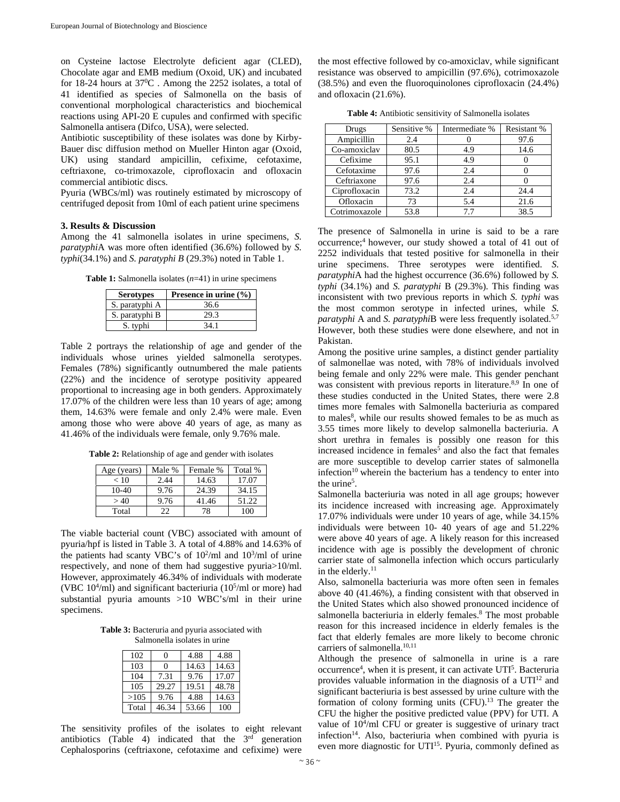on Cysteine lactose Electrolyte deficient agar (CLED), Chocolate agar and EMB medium (Oxoid, UK) and incubated for 18-24 hours at  $37^0$ C. Among the 2252 isolates, a total of 41 identified as species of Salmonella on the basis of conventional morphological characteristics and biochemical reactions using API-20 E cupules and confirmed with specific Salmonella antisera (Difco, USA), were selected.

Antibiotic susceptibility of these isolates was done by Kirby-Bauer disc diffusion method on Mueller Hinton agar (Oxoid, UK) using standard ampicillin, cefixime, cefotaxime, ceftriaxone, co-trimoxazole, ciprofloxacin and ofloxacin commercial antibiotic discs.

Pyuria (WBCs/ml) was routinely estimated by microscopy of centrifuged deposit from 10ml of each patient urine specimens

### **3. Results & Discussion**

Among the 41 salmonella isolates in urine specimens, *S. paratyphi*A was more often identified (36.6%) followed by *S. typhi*(34.1%) and *S. paratyphi B* (29.3%) noted in Table 1.

**Table 1:** Salmonella isolates (*n*=41) in urine specimens

| <b>Serotypes</b> | Presence in urine $(\% )$ |
|------------------|---------------------------|
| S. paratyphi A   | 36.6                      |
| S. paratyphi B   | 29.3                      |
| S. typhi         | 34 1                      |

Table 2 portrays the relationship of age and gender of the individuals whose urines yielded salmonella serotypes. Females (78%) significantly outnumbered the male patients (22%) and the incidence of serotype positivity appeared proportional to increasing age in both genders. Approximately 17.07% of the children were less than 10 years of age; among them, 14.63% were female and only 2.4% were male. Even among those who were above 40 years of age, as many as 41.46% of the individuals were female, only 9.76% male.

**Table 2:** Relationship of age and gender with isolates

| Age (years) | Male % | Female % | Total % |
|-------------|--------|----------|---------|
| < 10        | 2.44   | 14.63    | 17.07   |
| $10-40$     | 9.76   | 24.39    | 34.15   |
| >40         | 9.76   | 41.46    | 51.22   |
| Total       | 22     | 78       | 100     |

The viable bacterial count (VBC) associated with amount of pyuria/hpf is listed in Table 3. A total of 4.88% and 14.63% of the patients had scanty VBC's of  $10^2$ /ml and  $10^3$ /ml of urine respectively, and none of them had suggestive pyuria>10/ml. However, approximately 46.34% of individuals with moderate (VBC  $10<sup>4</sup>/ml$ ) and significant bacteriuria ( $10<sup>5</sup>/ml$  or more) had substantial pyuria amounts >10 WBC's/ml in their urine specimens.

**Table 3:** Bacteruria and pyuria associated with Salmonella isolates in urine

| 102   | 0     | 4.88  | 4.88  |
|-------|-------|-------|-------|
| 103   | 0     | 14.63 | 14.63 |
| 104   | 7.31  | 9.76  | 17.07 |
| 105   | 29.27 | 19.51 | 48.78 |
| >105  | 9.76  | 4.88  | 14.63 |
| Total | 46.34 | 53.66 | 100   |

The sensitivity profiles of the isolates to eight relevant antibiotics (Table 4) indicated that the  $3<sup>rd</sup>$  generation Cephalosporins (ceftriaxone, cefotaxime and cefixime) were

the most effective followed by co-amoxiclav, while significant resistance was observed to ampicillin (97.6%), cotrimoxazole (38.5%) and even the fluoroquinolones ciprofloxacin (24.4%) and ofloxacin (21.6%).

| <b>Table 4:</b> Antibiotic sensitivity of Salmonella isolates |  |
|---------------------------------------------------------------|--|
|---------------------------------------------------------------|--|

| Drugs         | Sensitive % | Intermediate % | Resistant % |
|---------------|-------------|----------------|-------------|
| Ampicillin    | 2.4         |                | 97.6        |
| Co-amoxiclav  | 80.5        | 4.9            | 14.6        |
| Cefixime      | 95.1        | 4.9            |             |
| Cefotaxime    | 97.6        | 2.4            |             |
| Ceftriaxone   | 97.6        | 2.4            |             |
| Ciprofloxacin | 73.2        | 2.4            | 24.4        |
| Ofloxacin     | 73          | 5.4            | 21.6        |
| Cotrimoxazole | 53.8        | 7.7            | 38.5        |

The presence of Salmonella in urine is said to be a rare occurrence;4 however, our study showed a total of 41 out of 2252 individuals that tested positive for salmonella in their urine specimens. Three serotypes were identified. *S*. *paratyphi*A had the highest occurrence (36.6%) followed by *S. typhi* (34.1%) and *S. paratyphi* B (29.3%). This finding was inconsistent with two previous reports in which *S. typhi* was the most common serotype in infected urines, while *S. paratyphi* A and *S. paratyphi*B were less frequently isolated.<sup>5,7</sup> However, both these studies were done elsewhere, and not in Pakistan.

Among the positive urine samples, a distinct gender partiality of salmonellae was noted, with 78% of individuals involved being female and only 22% were male. This gender penchant was consistent with previous reports in literature.<sup>8,9</sup> In one of these studies conducted in the United States, there were 2.8 times more females with Salmonella bacteriuria as compared to males<sup>8</sup>, while our results showed females to be as much as 3.55 times more likely to develop salmonella bacteriuria. A short urethra in females is possibly one reason for this increased incidence in females<sup>5</sup> and also the fact that females are more susceptible to develop carrier states of salmonella infection<sup>10</sup> wherein the bacterium has a tendency to enter into the urine<sup>5</sup>.

Salmonella bacteriuria was noted in all age groups; however its incidence increased with increasing age. Approximately 17.07% individuals were under 10 years of age, while 34.15% individuals were between 10- 40 years of age and 51.22% were above 40 years of age. A likely reason for this increased incidence with age is possibly the development of chronic carrier state of salmonella infection which occurs particularly in the elderly.<sup>11</sup>

Also, salmonella bacteriuria was more often seen in females above 40 (41.46%), a finding consistent with that observed in the United States which also showed pronounced incidence of salmonella bacteriuria in elderly females.<sup>8</sup> The most probable reason for this increased incidence in elderly females is the fact that elderly females are more likely to become chronic carriers of salmonella.<sup>10,11</sup>

Although the presence of salmonella in urine is a rare occurrence<sup>4</sup>, when it is present, it can activate UTI<sup>5</sup>. Bacteruria provides valuable information in the diagnosis of a  $UTI<sup>12</sup>$  and significant bacteriuria is best assessed by urine culture with the formation of colony forming units  $(CFU)$ .<sup>13</sup> The greater the CFU the higher the positive predicted value (PPV) for UTI. A value of 10<sup>4</sup>/ml CFU or greater is suggestive of urinary tract infection<sup>14</sup>. Also, bacteriuria when combined with pyuria is even more diagnostic for UTI<sup>15</sup>. Pyuria, commonly defined as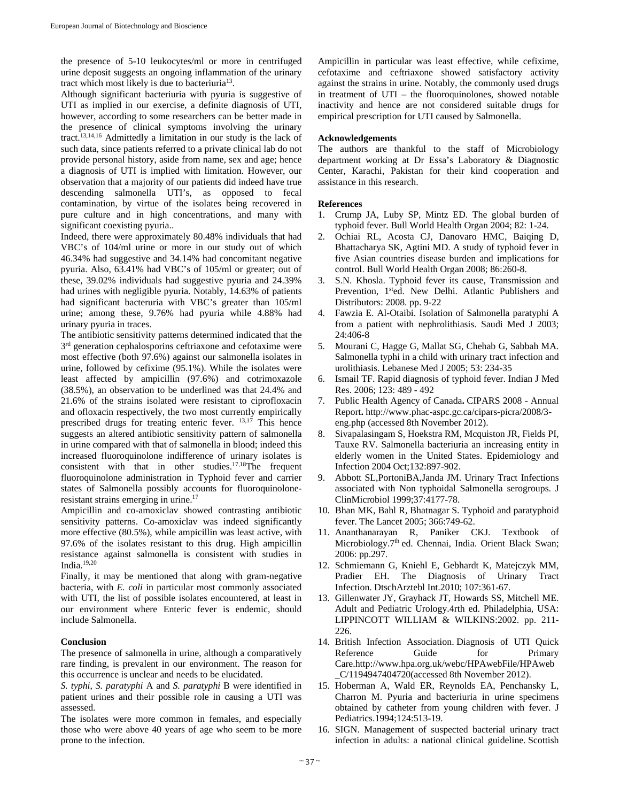the presence of 5-10 leukocytes/ml or more in centrifuged urine deposit suggests an ongoing inflammation of the urinary tract which most likely is due to bacteriuria13.

Although significant bacteriuria with pyuria is suggestive of UTI as implied in our exercise, a definite diagnosis of UTI, however, according to some researchers can be better made in the presence of clinical symptoms involving the urinary tract.13,14,16 Admittedly a limitation in our study is the lack of such data, since patients referred to a private clinical lab do not provide personal history, aside from name, sex and age; hence a diagnosis of UTI is implied with limitation. However, our observation that a majority of our patients did indeed have true descending salmonella UTI's, as opposed to fecal contamination, by virtue of the isolates being recovered in pure culture and in high concentrations, and many with significant coexisting pyuria..

Indeed, there were approximately 80.48% individuals that had VBC's of 104/ml urine or more in our study out of which 46.34% had suggestive and 34.14% had concomitant negative pyuria. Also, 63.41% had VBC's of 105/ml or greater; out of these, 39.02% individuals had suggestive pyuria and 24.39% had urines with negligible pyuria. Notably, 14.63% of patients had significant bacteruria with VBC's greater than 105/ml urine; among these, 9.76% had pyuria while 4.88% had urinary pyuria in traces.

The antibiotic sensitivity patterns determined indicated that the 3<sup>rd</sup> generation cephalosporins ceftriaxone and cefotaxime were most effective (both 97.6%) against our salmonella isolates in urine, followed by cefixime (95.1%). While the isolates were least affected by ampicillin (97.6%) and cotrimoxazole (38.5%), an observation to be underlined was that 24.4% and 21.6% of the strains isolated were resistant to ciprofloxacin and ofloxacin respectively, the two most currently empirically prescribed drugs for treating enteric fever. 13,17 This hence suggests an altered antibiotic sensitivity pattern of salmonella in urine compared with that of salmonella in blood; indeed this increased fluoroquinolone indifference of urinary isolates is consistent with that in other studies.17,18The frequent fluoroquinolone administration in Typhoid fever and carrier states of Salmonella possibly accounts for fluoroquinoloneresistant strains emerging in urine.<sup>17</sup>

Ampicillin and co-amoxiclav showed contrasting antibiotic sensitivity patterns. Co-amoxiclav was indeed significantly more effective (80.5%), while ampicillin was least active, with 97.6% of the isolates resistant to this drug. High ampicillin resistance against salmonella is consistent with studies in India. $19,20$ 

Finally, it may be mentioned that along with gram-negative bacteria, with *E. coli* in particular most commonly associated with UTI, the list of possible isolates encountered, at least in our environment where Enteric fever is endemic, should include Salmonella.

### **Conclusion**

The presence of salmonella in urine, although a comparatively rare finding, is prevalent in our environment. The reason for this occurrence is unclear and needs to be elucidated.

*S. typhi*, *S. paratyphi* A and *S. paratyphi* B were identified in patient urines and their possible role in causing a UTI was assessed.

The isolates were more common in females, and especially those who were above 40 years of age who seem to be more prone to the infection.

Ampicillin in particular was least effective, while cefixime, cefotaxime and ceftriaxone showed satisfactory activity against the strains in urine. Notably, the commonly used drugs in treatment of UTI – the fluoroquinolones, showed notable inactivity and hence are not considered suitable drugs for empirical prescription for UTI caused by Salmonella.

### **Acknowledgements**

The authors are thankful to the staff of Microbiology department working at Dr Essa's Laboratory & Diagnostic Center, Karachi, Pakistan for their kind cooperation and assistance in this research.

### **References**

- 1. Crump JA, Luby SP, Mintz ED. The global burden of typhoid fever. Bull World Health Organ 2004; 82: 1-24.
- 2. Ochiai RL, Acosta CJ, Danovaro HMC, Baiqing D, Bhattacharya SK, Agtini MD. A study of typhoid fever in five Asian countries disease burden and implications for control. Bull World Health Organ 2008; 86:260-8.
- 3. S.N. Khosla. Typhoid fever its cause, Transmission and Prevention, 1<sup>st</sup>ed. New Delhi. Atlantic Publishers and Distributors: 2008. pp. 9-22
- 4. Fawzia E. Al-Otaibi. Isolation of Salmonella paratyphi A from a patient with nephrolithiasis. Saudi Med J 2003; 24:406-8
- 5. Mourani C, Hagge G, Mallat SG, Chehab G, Sabbah MA. Salmonella typhi in a child with urinary tract infection and urolithiasis. Lebanese Med J 2005; 53: 234-35
- 6. Ismail TF. Rapid diagnosis of typhoid fever. Indian J Med Res. 2006; 123: 489 - 492
- 7. Public Health Agency of Canada**.** CIPARS 2008 Annual Report**.** http://www.phac-aspc.gc.ca/cipars-picra/2008/3 eng.php (accessed 8th November 2012).
- 8. Sivapalasingam S, Hoekstra RM, Mcquiston JR, Fields PI, Tauxe RV. Salmonella bacteriuria an increasing entity in elderly women in the United States. Epidemiology and Infection 2004 Oct;132:897-902.
- 9. Abbott SL,PortoniBA,Janda JM. Urinary Tract Infections associated with Non typhoidal Salmonella serogroups. J ClinMicrobiol 1999;37:4177-78.
- 10. Bhan MK, Bahl R, Bhatnagar S. Typhoid and paratyphoid fever. The Lancet 2005; 366:749-62.
- 11. Ananthanarayan R, Paniker CKJ. Textbook of Microbiology.7<sup>th</sup> ed. Chennai, India. Orient Black Swan; 2006: pp.297.
- 12. Schmiemann G, Kniehl E, Gebhardt K, Matejczyk MM, Pradier EH. The Diagnosis of Urinary Tract Infection. DtschArztebl Int.2010; 107:361-67.
- 13. Gillenwater JY, Grayhack JT, Howards SS, Mitchell ME. Adult and Pediatric Urology.4rth ed. Philadelphia, USA: LIPPINCOTT WILLIAM & WILKINS:2002. pp. 211- 226.
- 14. British Infection Association. Diagnosis of UTI Quick Reference Guide for Primary Care.http://www.hpa.org.uk/webc/HPAwebFile/HPAweb \_C/1194947404720(accessed 8th November 2012).
- 15. Hoberman A, Wald ER, Reynolds EA, Penchansky L, Charron M. Pyuria and bacteriuria in urine specimens obtained by catheter from young children with fever. J Pediatrics.1994;124:513-19.
- 16. SIGN. Management of suspected bacterial urinary tract infection in adults: a national clinical guideline. Scottish